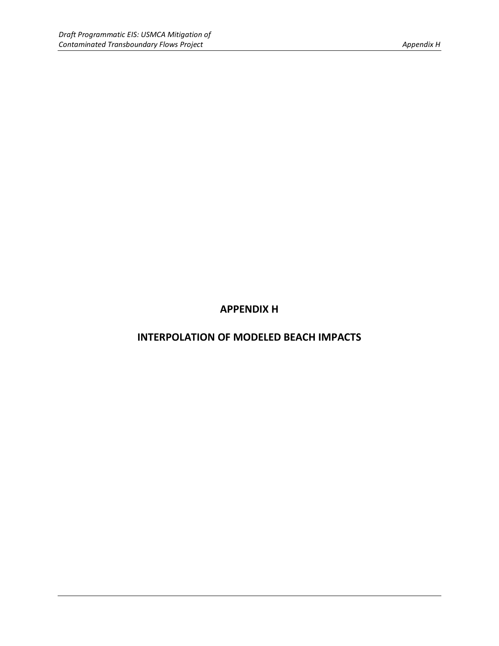## **APPENDIX H**

#### **INTERPOLATION OF MODELED BEACH IMPACTS**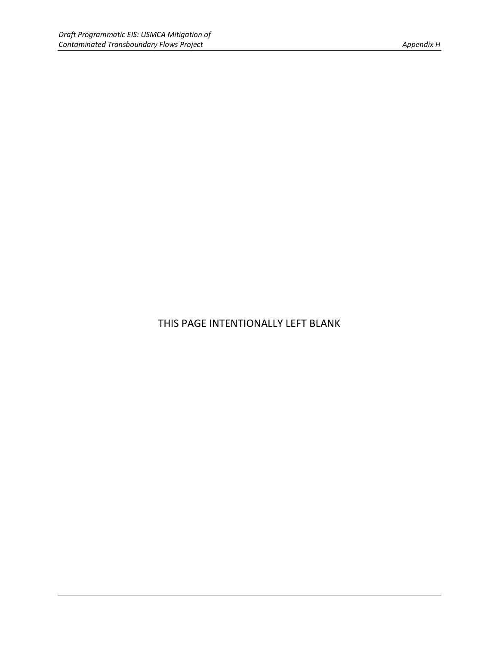## THIS PAGE INTENTIONALLY LEFT BLANK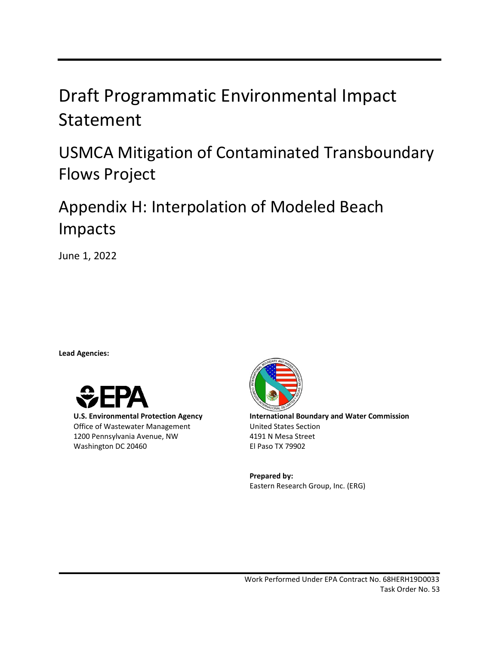# Draft Programmatic Environmental Impact Statement

USMCA Mitigation of Contaminated Transboundary Flows Project

## Appendix H: Interpolation of Modeled Beach Impacts

June 1, 2022

**Lead Agencies:**



Office of Wastewater Management **United States Section** 1200 Pennsylvania Avenue, NW 4191 N Mesa Street Washington DC 20460 **El Paso TX 79902** 



**U.S. Environmental Protection Agency International Boundary and Water Commission**

**Prepared by:** Eastern Research Group, Inc. (ERG)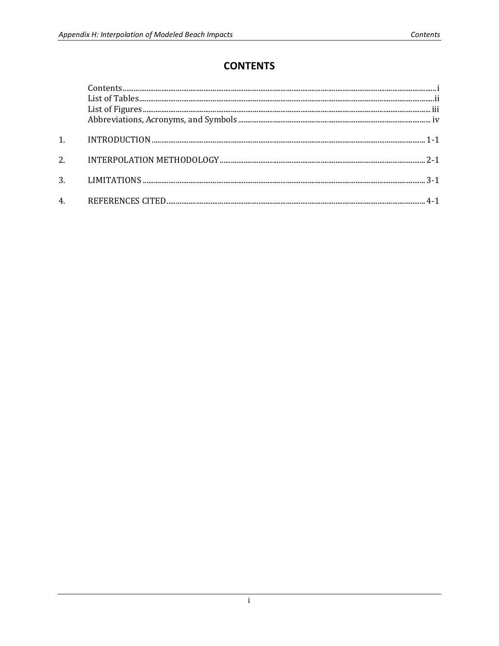### **CONTENTS**

<span id="page-3-0"></span>

| 1 <sub>1</sub> |  |
|----------------|--|
| 2.             |  |
| 3.             |  |
| 4.             |  |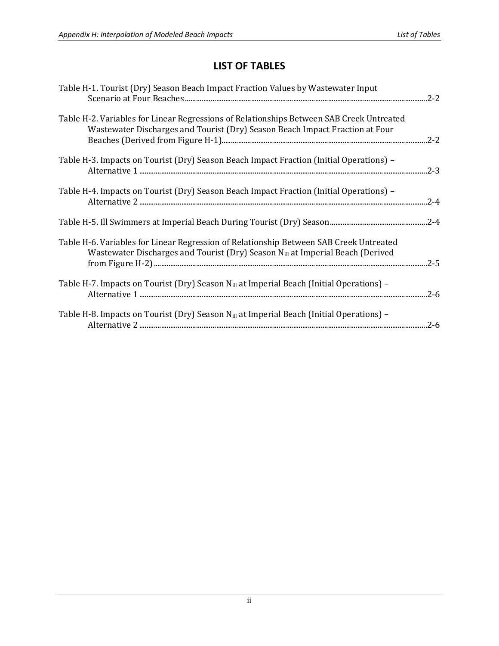#### **LIST OF TABLES**

<span id="page-4-0"></span>

| Table H-1. Tourist (Dry) Season Beach Impact Fraction Values by Wastewater Input                                                                                                     |  |
|--------------------------------------------------------------------------------------------------------------------------------------------------------------------------------------|--|
| Table H-2. Variables for Linear Regressions of Relationships Between SAB Creek Untreated<br>Wastewater Discharges and Tourist (Dry) Season Beach Impact Fraction at Four             |  |
| Table H-3. Impacts on Tourist (Dry) Season Beach Impact Fraction (Initial Operations) -                                                                                              |  |
| Table H-4. Impacts on Tourist (Dry) Season Beach Impact Fraction (Initial Operations) -                                                                                              |  |
|                                                                                                                                                                                      |  |
| Table H-6. Variables for Linear Regression of Relationship Between SAB Creek Untreated<br>Wastewater Discharges and Tourist (Dry) Season N <sub>ill</sub> at Imperial Beach (Derived |  |
| Table H-7. Impacts on Tourist (Dry) Season $N_{ill}$ at Imperial Beach (Initial Operations) –                                                                                        |  |
| Table H-8. Impacts on Tourist (Dry) Season $N_{ill}$ at Imperial Beach (Initial Operations) –                                                                                        |  |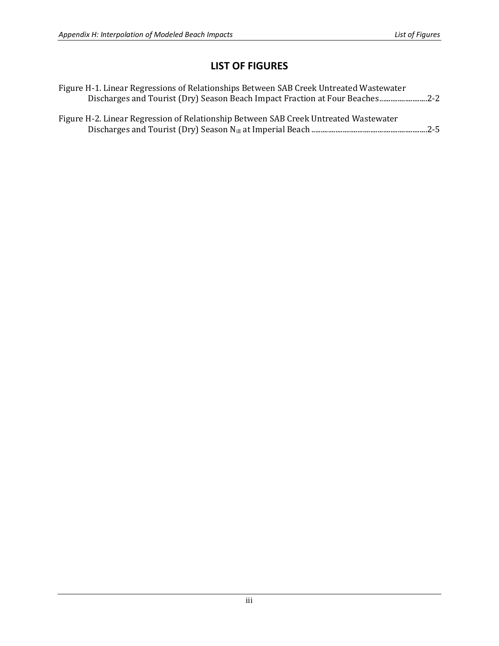## **LIST OF FIGURES**

<span id="page-5-0"></span>

| Figure H-1. Linear Regressions of Relationships Between SAB Creek Untreated Wastewater |  |
|----------------------------------------------------------------------------------------|--|
| Discharges and Tourist (Dry) Season Beach Impact Fraction at Four Beaches2-2           |  |
|                                                                                        |  |
| Figure H-2. Linear Regression of Relationship Between SAB Creek Untreated Wastewater   |  |
|                                                                                        |  |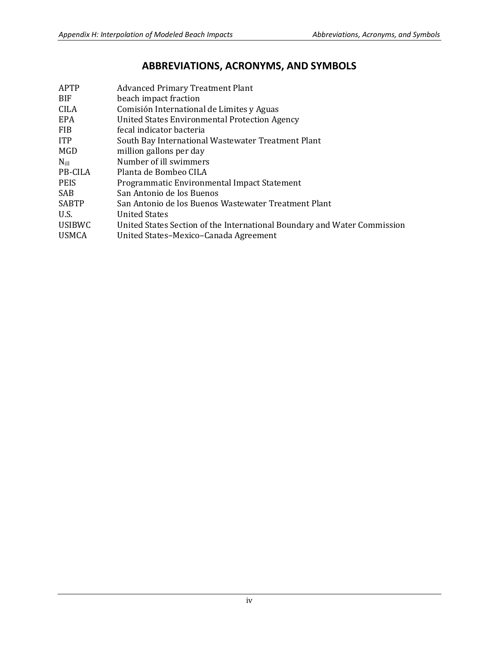#### **ABBREVIATIONS, ACRONYMS, AND SYMBOLS**

<span id="page-6-0"></span>

| <b>APTP</b>    | <b>Advanced Primary Treatment Plant</b>                                  |
|----------------|--------------------------------------------------------------------------|
| <b>BIF</b>     | beach impact fraction                                                    |
| <b>CILA</b>    | Comisión International de Limites y Aguas                                |
| EPA            | United States Environmental Protection Agency                            |
| <b>FIB</b>     | fecal indicator bacteria                                                 |
| <b>ITP</b>     | South Bay International Wastewater Treatment Plant                       |
| MGD            | million gallons per day                                                  |
| $N_{\rm{ill}}$ | Number of ill swimmers                                                   |
| PB-CILA        | Planta de Bombeo CILA                                                    |
| <b>PEIS</b>    | Programmatic Environmental Impact Statement                              |
| <b>SAB</b>     | San Antonio de los Buenos                                                |
| <b>SABTP</b>   | San Antonio de los Buenos Wastewater Treatment Plant                     |
| U.S.           | <b>United States</b>                                                     |
| <b>USIBWC</b>  | United States Section of the International Boundary and Water Commission |
| <b>USMCA</b>   | United States-Mexico-Canada Agreement                                    |
|                |                                                                          |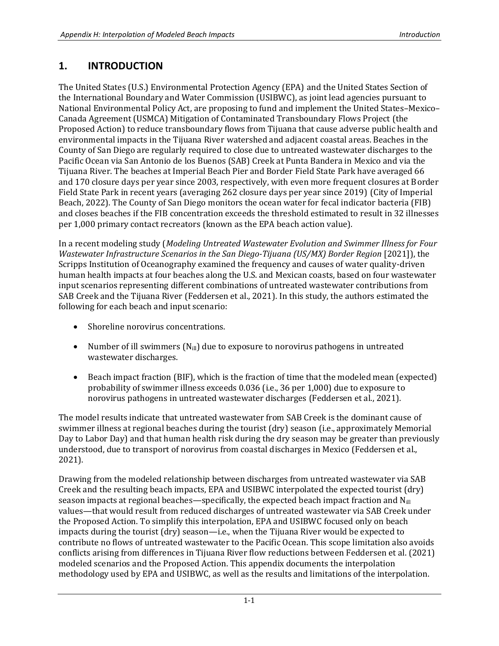## <span id="page-7-0"></span>**1. INTRODUCTION**

The United States (U.S.) Environmental Protection Agency (EPA) and the United States Section of the International Boundary and Water Commission (USIBWC), as joint lead agencies pursuant to National Environmental Policy Act, are proposing to fund and implement the United States–Mexico– Canada Agreement (USMCA) Mitigation of Contaminated Transboundary Flows Project (the Proposed Action) to reduce transboundary flows from Tijuana that cause adverse public health and environmental impacts in the Tijuana River watershed and adjacent coastal areas. Beaches in the County of San Diego are regularly required to close due to untreated wastewater discharges to the Pacific Ocean via San Antonio de los Buenos (SAB) Creek at Punta Bandera in Mexico and via the Tijuana River. The beaches at Imperial Beach Pier and Border Field State Park have averaged 66 and 170 closure days per year since 2003, respectively, with even more frequent closures at Border Field State Park in recent years (averaging 262 closure days per year since 2019) (City of Imperial Beach, 2022). The County of San Diego monitors the ocean water for fecal indicator bacteria (FIB) and closes beaches if the FIB concentration exceeds the threshold estimated to result in 32 illnesses per 1,000 primary contact recreators (known as the EPA beach action value).

In a recent modeling study (*Modeling Untreated Wastewater Evolution and Swimmer Illness for Four Wastewater Infrastructure Scenarios in the San Diego‐Tijuana (US/MX) Border Region* [2021]), the Scripps Institution of Oceanography examined the frequency and causes of water quality-driven human health impacts at four beaches along the U.S. and Mexican coasts, based on four wastewater input scenarios representing different combinations of untreated wastewater contributions from SAB Creek and the Tijuana River (Feddersen et al., 2021). In this study, the authors estimated the following for each beach and input scenario:

- Shoreline norovirus concentrations.
- Number of ill swimmers  $(N_{ill})$  due to exposure to norovirus pathogens in untreated wastewater discharges.
- Beach impact fraction (BIF), which is the fraction of time that the modeled mean (expected) probability of swimmer illness exceeds 0.036 (i.e., 36 per 1,000) due to exposure to norovirus pathogens in untreated wastewater discharges (Feddersen et al., 2021).

The model results indicate that untreated wastewater from SAB Creek is the dominant cause of swimmer illness at regional beaches during the tourist (dry) season (i.e., approximately Memorial Day to Labor Day) and that human health risk during the dry season may be greater than previously understood, due to transport of norovirus from coastal discharges in Mexico (Feddersen et al., 2021).

Drawing from the modeled relationship between discharges from untreated wastewater via SAB Creek and the resulting beach impacts, EPA and USIBWC interpolated the expected tourist (dry) season impacts at regional beaches—specifically, the expected beach impact fraction and  $N_{ill}$ values—that would result from reduced discharges of untreated wastewater via SAB Creek under the Proposed Action. To simplify this interpolation, EPA and USIBWC focused only on beach impacts during the tourist (dry) season—i.e., when the Tijuana River would be expected to contribute no flows of untreated wastewater to the Pacific Ocean. This scope limitation also avoids conflicts arising from differences in Tijuana River flow reductions between Feddersen et al. (2021) modeled scenarios and the Proposed Action. This appendix documents the interpolation methodology used by EPA and USIBWC, as well as the results and limitations of the interpolation.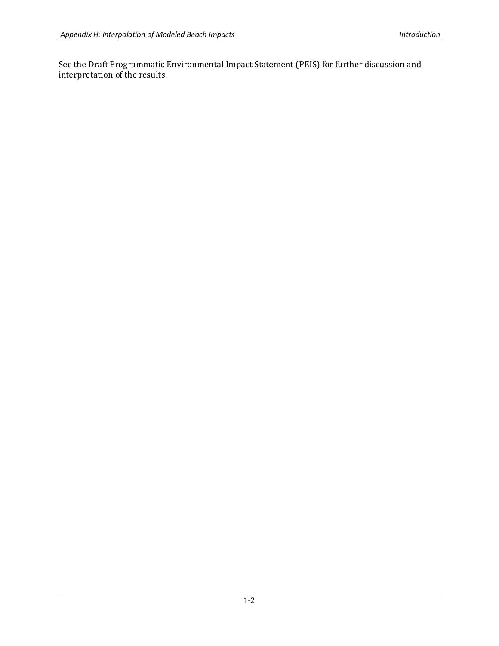See the Draft Programmatic Environmental Impact Statement (PEIS) for further discussion and interpretation of the results.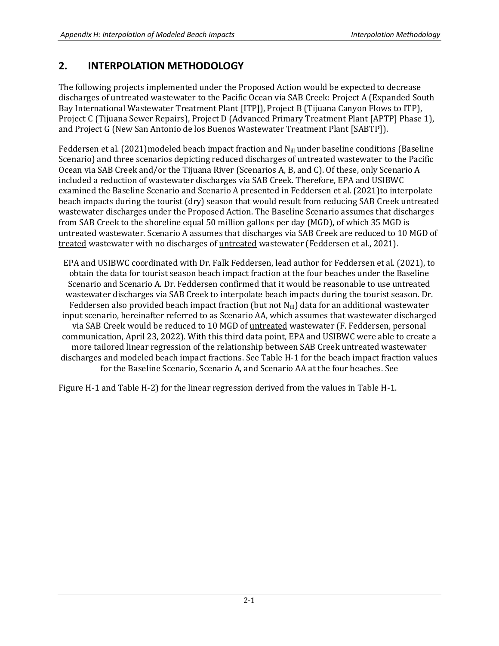## <span id="page-9-0"></span>**2. INTERPOLATION METHODOLOGY**

The following projects implemented under the Proposed Action would be expected to decrease discharges of untreated wastewater to the Pacific Ocean via SAB Creek: Project A (Expanded South Bay International Wastewater Treatment Plant [ITP]), Project B (Tijuana Canyon Flows to ITP), Project C (Tijuana Sewer Repairs), Project D (Advanced Primary Treatment Plant [APTP] Phase 1), and Project G (New San Antonio de los Buenos Wastewater Treatment Plant [SABTP]).

Feddersen et al. (2021)modeled beach impact fraction and  $N_{ill}$  under baseline conditions (Baseline Scenario) and three scenarios depicting reduced discharges of untreated wastewater to the Pacific Ocean via SAB Creek and/or the Tijuana River (Scenarios A, B, and C). Of these, only Scenario A included a reduction of wastewater discharges via SAB Creek. Therefore, EPA and USIBWC examined the Baseline Scenario and Scenario A presented in Feddersen et al. (2021)to interpolate beach impacts during the tourist (dry) season that would result from reducing SAB Creek untreated wastewater discharges under the Proposed Action. The Baseline Scenario assumes that discharges from SAB Creek to the shoreline equal 50 million gallons per day (MGD), of which 35 MGD is untreated wastewater. Scenario A assumes that discharges via SAB Creek are reduced to 10 MGD of treated wastewater with no discharges of untreated wastewater (Feddersen et al., 2021).

EPA and USIBWC coordinated with Dr. Falk Feddersen, lead author for Feddersen et al. (2021), to obtain the data for tourist season beach impact fraction at the four beaches under the Baseline Scenario and Scenario A. Dr. Feddersen confirmed that it would be reasonable to use untreated wastewater discharges via SAB Creek to interpolate beach impacts during the tourist season. Dr. Feddersen also provided beach impact fraction (but not  $N_{ill}$ ) data for an additional wastewater input scenario, hereinafter referred to as Scenario AA, which assumes that wastewater discharged via SAB Creek would be reduced to 10 MGD of untreated wastewater (F. Feddersen, personal communication, April 23, 2022). With this third data point, EPA and USIBWC were able to create a more tailored linear regression of the relationship between SAB Creek untreated wastewater discharges and modeled beach impact fractions. Se[e Table H-1](#page-10-0) for the beach impact fraction [values](#page-10-1) for the Baseline Scenario, Scenario A, and Scenario AA at the four beaches. See

[Figure H-1](#page-10-1) an[d Table H-2\)](#page-10-2) for the linear regression derived from the values in [Table H-1.](#page-10-0)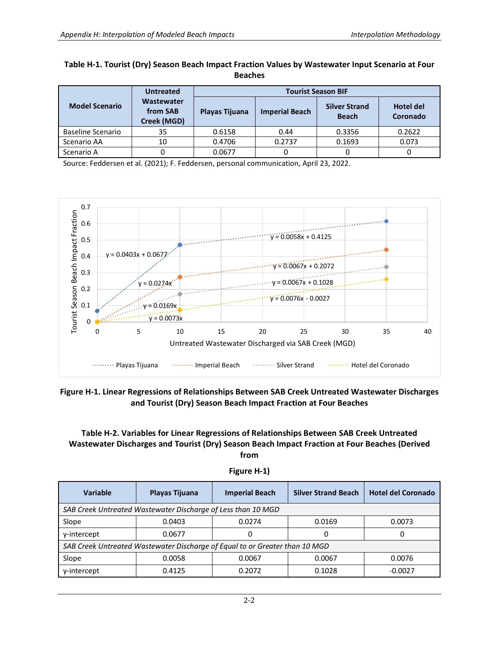#### <span id="page-10-0"></span>**Table H-1. Tourist (Dry) Season Beach Impact Fraction Values by Wastewater Input Scenario at Four Beaches**

|                       | <b>Untreated</b>                      | <b>Tourist Season BIF</b> |                       |                                      |                              |  |  |  |  |
|-----------------------|---------------------------------------|---------------------------|-----------------------|--------------------------------------|------------------------------|--|--|--|--|
| <b>Model Scenario</b> | Wastewater<br>from SAB<br>Creek (MGD) | <b>Playas Tijuana</b>     | <b>Imperial Beach</b> | <b>Silver Strand</b><br><b>Beach</b> | <b>Hotel del</b><br>Coronado |  |  |  |  |
| Baseline Scenario     | 35                                    | 0.6158                    | 0.44                  | 0.3356                               | 0.2622                       |  |  |  |  |
| Scenario AA           | 10                                    | 0.4706                    | 0.2737                | 0.1693                               | 0.073                        |  |  |  |  |
| Scenario A            |                                       | 0.0677                    | 0                     |                                      |                              |  |  |  |  |

Source: Feddersen et al. (2021); F. Feddersen, personal communication, April 23, 2022.



#### **Figure H-1. Linear Regressions of Relationships Between SAB Creek Untreated Wastewater Discharges and Tourist (Dry) Season Beach Impact Fraction at Four Beaches**

#### <span id="page-10-2"></span>**Table H-2. Variables for Linear Regressions of Relationships Between SAB Creek Untreated Wastewater Discharges and Tourist (Dry) Season Beach Impact Fraction at Four Beaches (Derived fro[m](#page-10-1)**

| Variable                                                                    | Playas Tijuana | <b>Imperial Beach</b> | <b>Silver Strand Beach</b> | <b>Hotel del Coronado</b> |  |  |  |
|-----------------------------------------------------------------------------|----------------|-----------------------|----------------------------|---------------------------|--|--|--|
| SAB Creek Untreated Wastewater Discharge of Less than 10 MGD                |                |                       |                            |                           |  |  |  |
| Slope                                                                       | 0.0403         | 0.0169<br>0.0274      |                            | 0.0073                    |  |  |  |
| y-intercept                                                                 | 0.0677         |                       |                            |                           |  |  |  |
| SAB Creek Untreated Wastewater Discharge of Equal to or Greater than 10 MGD |                |                       |                            |                           |  |  |  |
| Slope                                                                       | 0.0058         | 0.0067<br>0.0067      |                            | 0.0076                    |  |  |  |
| y-intercept                                                                 | 0.4125         | 0.2072                | 0.1028                     | $-0.0027$                 |  |  |  |

<span id="page-10-1"></span>**[Figure H-1\)](#page-10-1)**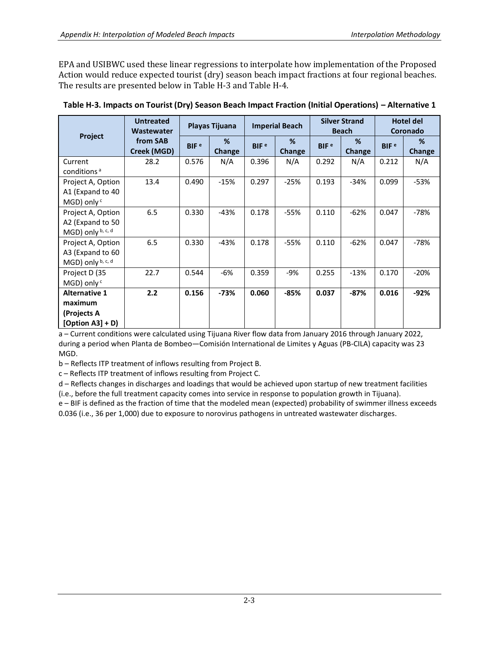EPA and USIBWC used these linear regressions to interpolate how implementation of the Proposed Action would reduce expected tourist (dry) season beach impact fractions at four regional beaches. The results are presented below in [Table H-3](#page-11-0) an[d Table H-4.](#page-12-0)

|                                                                      | <b>Untreated</b><br><b>Wastewater</b> | Playas Tijuana   |             | <b>Imperial Beach</b> |                    | <b>Silver Strand</b><br><b>Beach</b> |                    | <b>Hotel del</b><br>Coronado |             |
|----------------------------------------------------------------------|---------------------------------------|------------------|-------------|-----------------------|--------------------|--------------------------------------|--------------------|------------------------------|-------------|
| Project                                                              | from SAB<br>Creek (MGD)               | BIF <sup>e</sup> | %<br>Change | BIF <sup>e</sup>      | %<br><b>Change</b> | BIF <sup>e</sup>                     | %<br><b>Change</b> | BIF <sup>e</sup>             | %<br>Change |
| Current<br>conditions <sup>a</sup>                                   | 28.2                                  | 0.576            | N/A         | 0.396                 | N/A                | 0.292                                | N/A                | 0.212                        | N/A         |
| Project A, Option<br>A1 (Expand to 40<br>MGD) only $c$               | 13.4                                  | 0.490            | $-15%$      | 0.297                 | $-25%$             | 0.193                                | $-34%$             | 0.099                        | $-53%$      |
| Project A, Option<br>A2 (Expand to 50<br>MGD) only b, c, d           | 6.5                                   | 0.330            | $-43%$      | 0.178                 | $-55%$             | 0.110                                | $-62%$             | 0.047                        | $-78%$      |
| Project A, Option<br>A3 (Expand to 60<br>MGD) only b, c, d           | 6.5                                   | 0.330            | $-43%$      | 0.178                 | $-55%$             | 0.110                                | $-62%$             | 0.047                        | $-78%$      |
| Project D (35<br>MGD) only $c$                                       | 22.7                                  | 0.544            | -6%         | 0.359                 | -9%                | 0.255                                | $-13%$             | 0.170                        | $-20%$      |
| <b>Alternative 1</b><br>maximum<br>(Projects A<br>$[Option A3] + D]$ | 2.2                                   | 0.156            | -73%        | 0.060                 | $-85%$             | 0.037                                | $-87%$             | 0.016                        | $-92%$      |

<span id="page-11-0"></span>

|  |  |  |  |  | Table H-3. Impacts on Tourist (Dry) Season Beach Impact Fraction (Initial Operations) - Alternative 1 |  |  |  |
|--|--|--|--|--|-------------------------------------------------------------------------------------------------------|--|--|--|
|--|--|--|--|--|-------------------------------------------------------------------------------------------------------|--|--|--|

a – Current conditions were calculated using Tijuana River flow data from January 2016 through January 2022, during a period when Planta de Bombeo—Comisión International de Limites y Aguas (PB-CILA) capacity was 23 MGD.

b – Reflects ITP treatment of inflows resulting from Project B.

c – Reflects ITP treatment of inflows resulting from Project C.

d – Reflects changes in discharges and loadings that would be achieved upon startup of new treatment facilities (i.e., before the full treatment capacity comes into service in response to population growth in Tijuana).

e – BIF is defined as the fraction of time that the modeled mean (expected) probability of swimmer illness exceeds 0.036 (i.e., 36 per 1,000) due to exposure to norovirus pathogens in untreated wastewater discharges.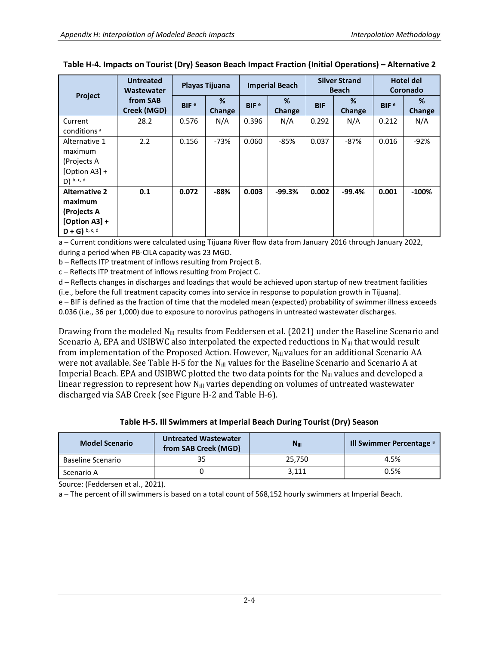|                                                                                        | <b>Untreated</b><br>Wastewater | Playas Tijuana   |             | <b>Imperial Beach</b> |             | <b>Silver Strand</b><br><b>Beach</b> |             | <b>Hotel del</b><br>Coronado |             |
|----------------------------------------------------------------------------------------|--------------------------------|------------------|-------------|-----------------------|-------------|--------------------------------------|-------------|------------------------------|-------------|
| Project                                                                                | from SAB<br>Creek (MGD)        | BIF <sup>e</sup> | %<br>Change | BIF <sup>e</sup>      | %<br>Change | <b>BIF</b>                           | %<br>Change | BIF <sup>e</sup>             | %<br>Change |
| Current<br>conditions <sup>a</sup>                                                     | 28.2                           | 0.576            | N/A         | 0.396                 | N/A         | 0.292                                | N/A         | 0.212                        | N/A         |
| Alternative 1<br>maximum<br>(Projects A<br>[Option A3] $+$<br>$D)$ b, c, d             | 2.2                            | 0.156            | $-73%$      | 0.060                 | $-85%$      | 0.037                                | $-87%$      | 0.016                        | $-92%$      |
| <b>Alternative 2</b><br>maximum<br>(Projects A<br>$[Option A3] +$<br>$D + G$ ) b, c, d | 0.1                            | 0.072            | $-88%$      | 0.003                 | $-99.3%$    | 0.002                                | $-99.4%$    | 0.001                        | -100%       |

<span id="page-12-0"></span>**Table H-4. Impacts on Tourist (Dry) Season Beach Impact Fraction (Initial Operations) – Alternative 2**

a – Current conditions were calculated using Tijuana River flow data from January 2016 through January 2022, during a period when PB-CILA capacity was 23 MGD.

b – Reflects ITP treatment of inflows resulting from Project B.

c – Reflects ITP treatment of inflows resulting from Project C.

d – Reflects changes in discharges and loadings that would be achieved upon startup of new treatment facilities (i.e., before the full treatment capacity comes into service in response to population growth in Tijuana).

e – BIF is defined as the fraction of time that the modeled mean (expected) probability of swimmer illness exceeds 0.036 (i.e., 36 per 1,000) due to exposure to norovirus pathogens in untreated wastewater discharges.

Drawing from the modeled N<sub>ill</sub> results from Feddersen et al. (2021) under the Baseline Scenario and Scenario A, EPA and USIBWC also interpolated the expected reductions in  $N_{ill}$  that would result from implementation of the Proposed Action. However, N<sub>ill</sub> values for an additional Scenario AA were not available. Se[e Table H-5](#page-12-1) for the N<sub>ill</sub> values for the Baseline Scenario and Scenario A at Imperial Beach. EPA and USIBWC plotted the two data points for the  $N_{ill}$  values and developed a linear regression to represent how  $N_{\text{ill}}$  varies depending on volumes of untreated wastewater discharged via SAB Creek (se[e Figure H-2](#page-13-0) and [Table H-6\)](#page-13-1).

<span id="page-12-1"></span>

| <b>Model Scenario</b>    | <b>Untreated Wastewater</b><br>from SAB Creek (MGD) | $N_{\rm{ill}}$ | <b>Ill Swimmer Percentage</b> a |  |
|--------------------------|-----------------------------------------------------|----------------|---------------------------------|--|
| <b>Baseline Scenario</b> | 35                                                  | 25.750         | 4.5%                            |  |
| Scenario A               |                                                     | 3.111          | 0.5%                            |  |

Source: (Feddersen et al., 2021).

a – The percent of ill swimmers is based on a total count of 568,152 hourly swimmers at Imperial Beach.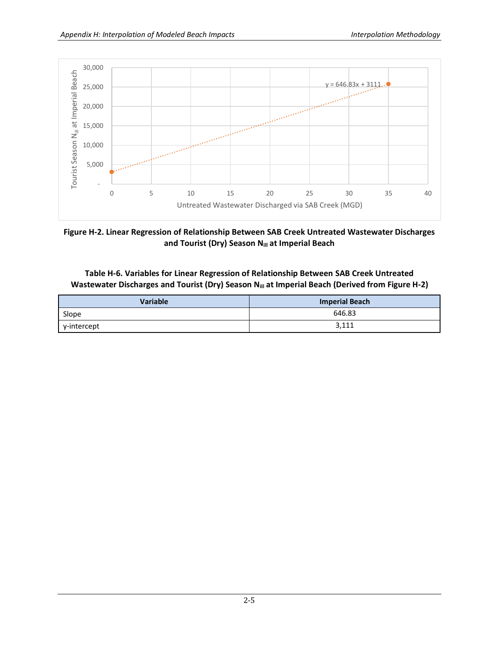

<span id="page-13-0"></span>**Figure H-2. Linear Regression of Relationship Between SAB Creek Untreated Wastewater Discharges**  and **Tourist (Dry)** Season N<sub>ill</sub> at Imperial Beach

#### <span id="page-13-1"></span>**Table H-6. Variables for Linear Regression of Relationship Between SAB Creek Untreated Wastewater Discharges and Tourist (Dry) Season N<sub>ill</sub> at Imperial Beach (Derived fro[m Figure H-2\)](#page-13-0)**

| Variable    | <b>Imperial Beach</b> |
|-------------|-----------------------|
| Slope       | 646.83                |
| y-intercept | <b>COMP</b><br>لمصدرت |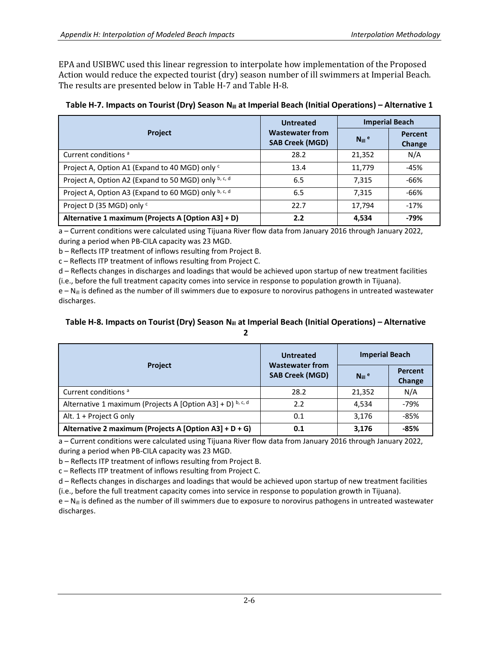EPA and USIBWC used this linear regression to interpolate how implementation of the Proposed Action would reduce the expected tourist (dry) season number of ill swimmers at Imperial Beach. The results are presented below in [Table H-7](#page-14-0) an[d Table H-8.](#page-14-1)

<span id="page-14-0"></span>

| Table H-7. Impacts on Tourist (Dry) Season N <sub>ill</sub> at Imperial Beach (Initial Operations) - Alternative 1 |  |
|--------------------------------------------------------------------------------------------------------------------|--|
|--------------------------------------------------------------------------------------------------------------------|--|

| <b>Project</b>                                       | <b>Untreated</b><br><b>Wastewater from</b><br><b>SAB Creek (MGD)</b> | <b>Imperial Beach</b>       |                   |
|------------------------------------------------------|----------------------------------------------------------------------|-----------------------------|-------------------|
|                                                      |                                                                      | $N_{\rm{ill}}$ <sup>e</sup> | Percent<br>Change |
| Current conditions <sup>a</sup>                      | 28.2                                                                 | 21,352                      | N/A               |
| Project A, Option A1 (Expand to 40 MGD) only c       | 13.4                                                                 | 11,779                      | $-45%$            |
| Project A, Option A2 (Expand to 50 MGD) only b, c, d | 6.5                                                                  | 7,315                       | -66%              |
| Project A, Option A3 (Expand to 60 MGD) only b, c, d | 6.5                                                                  | 7.315                       | -66%              |
| Project D (35 MGD) only c                            | 22.7                                                                 | 17,794                      | $-17%$            |
| Alternative 1 maximum (Projects A [Option A3] + D)   | 2.2                                                                  | 4,534                       | $-79%$            |

a – Current conditions were calculated using Tijuana River flow data from January 2016 through January 2022, during a period when PB-CILA capacity was 23 MGD.

b – Reflects ITP treatment of inflows resulting from Project B.

c – Reflects ITP treatment of inflows resulting from Project C.

d – Reflects changes in discharges and loadings that would be achieved upon startup of new treatment facilities (i.e., before the full treatment capacity comes into service in response to population growth in Tijuana).

e – N<sub>ill</sub> is defined as the number of ill swimmers due to exposure to norovirus pathogens in untreated wastewater discharges.

#### <span id="page-14-1"></span>**Table H-8. Impacts on Tourist (Dry) Season N<sub>ill</sub> at Imperial Beach (Initial Operations) – Alternative**

**2**

| <b>Project</b>                                               | <b>Untreated</b><br><b>Wastewater from</b><br><b>SAB Creek (MGD)</b> | <b>Imperial Beach</b>       |                   |
|--------------------------------------------------------------|----------------------------------------------------------------------|-----------------------------|-------------------|
|                                                              |                                                                      | $N_{\rm{ill}}$ <sup>e</sup> | Percent<br>Change |
| Current conditions <sup>a</sup>                              | 28.2                                                                 | 21,352                      | N/A               |
| Alternative 1 maximum (Projects A [Option A3] + D) $b, c, d$ | 2.2                                                                  | 4.534                       | $-79%$            |
| Alt. 1 + Project G only                                      | 0.1                                                                  | 3.176                       | $-85%$            |
| Alternative 2 maximum (Projects A [Option A3] + $D + G$ )    | 0.1                                                                  | 3,176                       | $-85%$            |

a – Current conditions were calculated using Tijuana River flow data from January 2016 through January 2022, during a period when PB-CILA capacity was 23 MGD.

b – Reflects ITP treatment of inflows resulting from Project B.

c – Reflects ITP treatment of inflows resulting from Project C.

d – Reflects changes in discharges and loadings that would be achieved upon startup of new treatment facilities (i.e., before the full treatment capacity comes into service in response to population growth in Tijuana).

 $e - N_{\text{ill}}$  is defined as the number of ill swimmers due to exposure to norovirus pathogens in untreated wastewater discharges.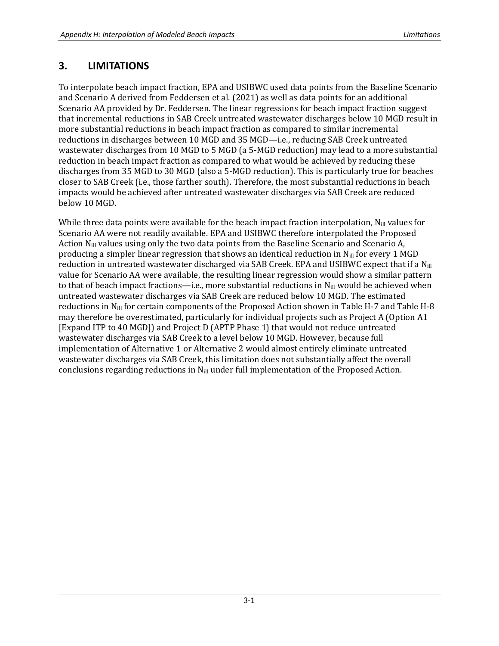## <span id="page-15-0"></span>**3. LIMITATIONS**

To interpolate beach impact fraction, EPA and USIBWC used data points from the Baseline Scenario and Scenario A derived from Feddersen et al. (2021) as well as data points for an additional Scenario AA provided by Dr. Feddersen. The linear regressions for beach impact fraction suggest that incremental reductions in SAB Creek untreated wastewater discharges below 10 MGD result in more substantial reductions in beach impact fraction as compared to similar incremental reductions in discharges between 10 MGD and 35 MGD—i.e., reducing SAB Creek untreated wastewater discharges from 10 MGD to 5 MGD (a 5-MGD reduction) may lead to a more substantial reduction in beach impact fraction as compared to what would be achieved by reducing these discharges from 35 MGD to 30 MGD (also a 5-MGD reduction). This is particularly true for beaches closer to SAB Creek (i.e., those farther south). Therefore, the most substantial reductions in beach impacts would be achieved after untreated wastewater discharges via SAB Creek are reduced below 10 MGD.

While three data points were available for the beach impact fraction interpolation,  $N_{\rm{ill}}$  values for Scenario AA were not readily available. EPA and USIBWC therefore interpolated the Proposed Action N<sub>ill</sub> values using only the two data points from the Baseline Scenario and Scenario A, producing a simpler linear regression that shows an identical reduction in  $N_{\text{ill}}$  for every 1 MGD reduction in untreated wastewater discharged via SAB Creek. EPA and USIBWC expect that if a  $N_{\text{ill}}$ value for Scenario AA were available, the resulting linear regression would show a similar pattern to that of beach impact fractions—i.e., more substantial reductions in  $N_{\text{ill}}$  would be achieved when untreated wastewater discharges via SAB Creek are reduced below 10 MGD. The estimated reductions in Nill for certain components of the Proposed Action shown i[n Table H-7](#page-14-0) an[d Table H-8](#page-14-1) may therefore be overestimated, particularly for individual projects such as Project A (Option A1 [Expand ITP to 40 MGD]) and Project D (APTP Phase 1) that would not reduce untreated wastewater discharges via SAB Creek to a level below 10 MGD. However, because full implementation of Alternative 1 or Alternative 2 would almost entirely eliminate untreated wastewater discharges via SAB Creek, this limitation does not substantially affect the overall conclusions regarding reductions in  $N_{ill}$  under full implementation of the Proposed Action.